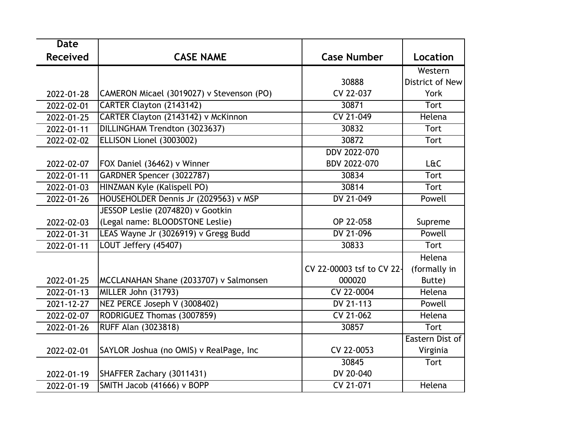| <b>Date</b>     |                                           |                           |                 |
|-----------------|-------------------------------------------|---------------------------|-----------------|
| <b>Received</b> | <b>CASE NAME</b>                          | <b>Case Number</b>        | Location        |
|                 |                                           |                           | Western         |
|                 |                                           | 30888                     | District of New |
| 2022-01-28      | CAMERON Micael (3019027) v Stevenson (PO) | CV 22-037                 | York            |
| 2022-02-01      | CARTER Clayton (2143142)                  | 30871                     | Tort            |
| 2022-01-25      | CARTER Clayton (2143142) v McKinnon       | CV 21-049                 | Helena          |
| 2022-01-11      | <b>DILLINGHAM Trendton (3023637)</b>      | 30832                     | Tort            |
| 2022-02-02      | ELLISON Lionel (3003002)                  | 30872                     | <b>Tort</b>     |
|                 |                                           | DDV 2022-070              |                 |
| 2022-02-07      | FOX Daniel (36462) v Winner               | BDV 2022-070              | $Lft$ C         |
| 2022-01-11      | GARDNER Spencer (3022787)                 | 30834                     | <b>Tort</b>     |
| 2022-01-03      | <b>HINZMAN Kyle (Kalispell PO)</b>        | 30814                     | <b>Tort</b>     |
| 2022-01-26      | HOUSEHOLDER Dennis Jr (2029563) v MSP     | DV 21-049                 | Powell          |
|                 | JESSOP Leslie (2074820) v Gootkin         |                           |                 |
| 2022-02-03      | (Legal name: BLOODSTONE Leslie)           | OP 22-058                 | Supreme         |
| 2022-01-31      | LEAS Wayne Jr (3026919) v Gregg Budd      | DV 21-096                 | Powell          |
| 2022-01-11      | LOUT Jeffery (45407)                      | 30833                     | Tort            |
|                 |                                           |                           | Helena          |
|                 |                                           | CV 22-00003 tsf to CV 22- | (formally in    |
| 2022-01-25      | MCCLANAHAN Shane (2033707) v Salmonsen    | 000020                    | Butte)          |
| 2022-01-13      | MILLER John (31793)                       | CV 22-0004                | Helena          |
| 2021-12-27      | NEZ PERCE Joseph V (3008402)              | DV 21-113                 | Powell          |
| 2022-02-07      | RODRIGUEZ Thomas (3007859)                | CV 21-062                 | Helena          |
| 2022-01-26      | RUFF Alan (3023818)                       | 30857                     | Tort            |
|                 |                                           |                           | Eastern Dist of |
| 2022-02-01      | SAYLOR Joshua (no OMIS) v RealPage, Inc   | CV 22-0053                | Virginia        |
|                 |                                           | 30845                     | <b>Tort</b>     |
| 2022-01-19      | SHAFFER Zachary (3011431)                 | DV 20-040                 |                 |
| 2022-01-19      | SMITH Jacob (41666) v BOPP                | CV 21-071                 | Helena          |